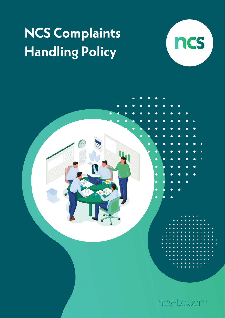## NCS Complaints **Handling Policy**